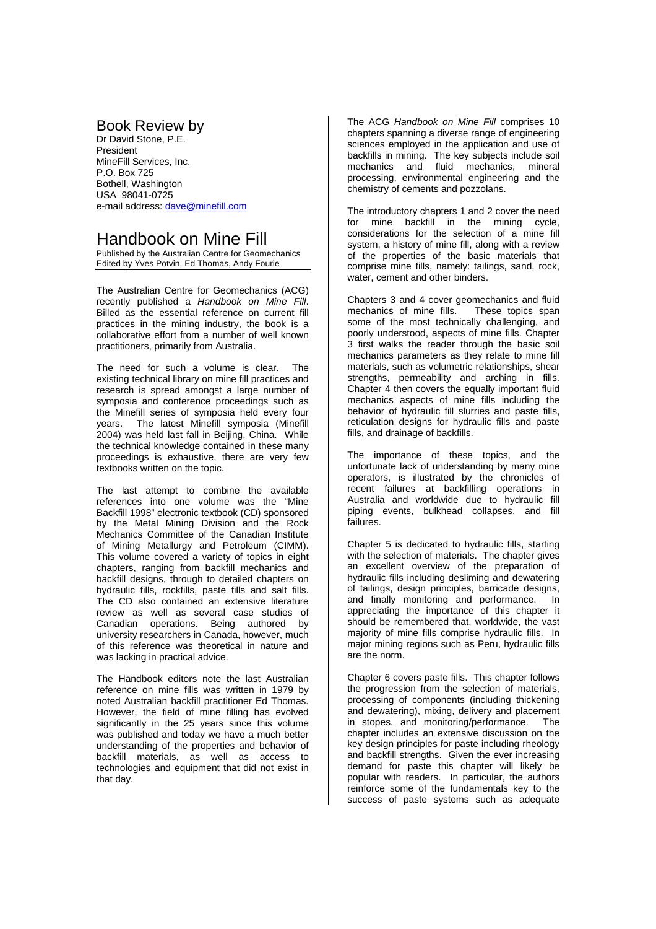## Book Review by

Dr David Stone, P.E. President MineFill Services, Inc. P.O. Box 725 Bothell, Washington USA 98041-0725 e-mail address: dave@minefill.com

## Handbook on Mine Fill

Published by the Australian Centre for Geomechanics Edited by Yves Potvin, Ed Thomas, Andy Fourie

The Australian Centre for Geomechanics (ACG) recently published a *Handbook on Mine Fill*. Billed as the essential reference on current fill practices in the mining industry, the book is a collaborative effort from a number of well known practitioners, primarily from Australia.

The need for such a volume is clear. The existing technical library on mine fill practices and research is spread amongst a large number of symposia and conference proceedings such as the Minefill series of symposia held every four years. The latest Minefill symposia (Minefill 2004) was held last fall in Beijing, China. While the technical knowledge contained in these many proceedings is exhaustive, there are very few textbooks written on the topic.

The last attempt to combine the available references into one volume was the "Mine Backfill 1998" electronic textbook (CD) sponsored by the Metal Mining Division and the Rock Mechanics Committee of the Canadian Institute of Mining Metallurgy and Petroleum (CIMM). This volume covered a variety of topics in eight chapters, ranging from backfill mechanics and backfill designs, through to detailed chapters on hydraulic fills, rockfills, paste fills and salt fills. The CD also contained an extensive literature review as well as several case studies of Canadian operations. Being authored by university researchers in Canada, however, much of this reference was theoretical in nature and was lacking in practical advice.

The Handbook editors note the last Australian reference on mine fills was written in 1979 by noted Australian backfill practitioner Ed Thomas. However, the field of mine filling has evolved significantly in the 25 years since this volume was published and today we have a much better understanding of the properties and behavior of backfill materials, as well as access to technologies and equipment that did not exist in that day.

The ACG *Handbook on Mine Fill* comprises 10 chapters spanning a diverse range of engineering sciences employed in the application and use of backfills in mining. The key subjects include soil mechanics and fluid mechanics, mineral processing, environmental engineering and the chemistry of cements and pozzolans.

The introductory chapters 1 and 2 cover the need for mine backfill in the mining cycle, considerations for the selection of a mine fill system, a history of mine fill, along with a review of the properties of the basic materials that comprise mine fills, namely: tailings, sand, rock, water, cement and other binders.

Chapters 3 and 4 cover geomechanics and fluid mechanics of mine fills. some of the most technically challenging, and poorly understood, aspects of mine fills. Chapter .<br>3 first walks the reader through the basic soil mechanics parameters as they relate to mine fill materials, such as volumetric relationships, shear strengths, permeability and arching in fills. Chapter 4 then covers the equally important fluid mechanics aspects of mine fills including the behavior of hydraulic fill slurries and paste fills, reticulation designs for hydraulic fills and paste fills, and drainage of backfills.

The importance of these topics, and the unfortunate lack of understanding by many mine operators, is illustrated by the chronicles of recent failures at backfilling operations in Australia and worldwide due to hydraulic fill piping events, bulkhead collapses, and fill failures.

Chapter 5 is dedicated to hydraulic fills, starting with the selection of materials. The chapter gives an excellent overview of the preparation of hydraulic fills including desliming and dewatering of tailings, design principles, barricade designs, and finally monitoring and performance. In appreciating the importance of this chapter it should be remembered that, worldwide, the vast majority of mine fills comprise hydraulic fills. In major mining regions such as Peru, hydraulic fills are the norm.

Chapter 6 covers paste fills. This chapter follows the progression from the selection of materials, processing of components (including thickening and dewatering), mixing, delivery and placement in stopes, and monitoring/performance. The chapter includes an extensive discussion on the key design principles for paste including rheology and backfill strengths. Given the ever increasing demand for paste this chapter will likely be popular with readers. In particular, the authors reinforce some of the fundamentals key to the success of paste systems such as adequate